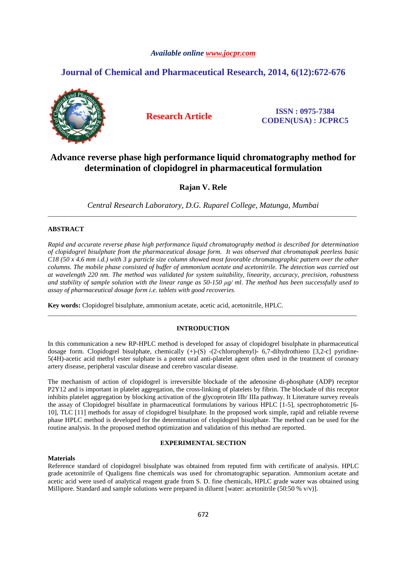# *Available online www.jocpr.com*

# **Journal of Chemical and Pharmaceutical Research, 2014, 6(12):672-676**



**Research Article ISSN : 0975-7384 CODEN(USA) : JCPRC5**

# **Advance reverse phase high performance liquid chromatography method for determination of clopidogrel in pharmaceutical formulation**

**Rajan V. Rele** 

*Central Research Laboratory, D.G. Ruparel College, Matunga, Mumbai*  \_\_\_\_\_\_\_\_\_\_\_\_\_\_\_\_\_\_\_\_\_\_\_\_\_\_\_\_\_\_\_\_\_\_\_\_\_\_\_\_\_\_\_\_\_\_\_\_\_\_\_\_\_\_\_\_\_\_\_\_\_\_\_\_\_\_\_\_\_\_\_\_\_\_\_\_\_\_\_\_\_\_\_\_\_\_\_\_\_\_\_\_\_

# **ABSTRACT**

*Rapid and accurate reverse phase high performance liquid chromatography method is described for determination of clopidogrel bisulphate from the pharmaceutical dosage form. It was observed that chromatopak peerless basic C18 (50 x 4.6 mm i.d.) with 3 µ particle size column showed most favorable chromatographic pattern over the other columns. The mobile phase consisted of buffer of ammonium acetate and acetonitrile. The detection was carried out at wavelength 220 nm. The method was validated for system suitability, linearity, accuracy, precision, robustness*  and stability of sample solution with the linear range as  $50-150 \mu g/ml$ . The method has been successfully used to *assay of pharmaceutical dosage form i.e. tablets with good recoveries.* 

**Key words:** Clopidogrel bisulphate, ammonium acetate, acetic acid, acetonitrile, HPLC.

# **INTRODUCTION**

\_\_\_\_\_\_\_\_\_\_\_\_\_\_\_\_\_\_\_\_\_\_\_\_\_\_\_\_\_\_\_\_\_\_\_\_\_\_\_\_\_\_\_\_\_\_\_\_\_\_\_\_\_\_\_\_\_\_\_\_\_\_\_\_\_\_\_\_\_\_\_\_\_\_\_\_\_\_\_\_\_\_\_\_\_\_\_\_\_\_\_\_\_

In this communication a new RP-HPLC method is developed for assay of clopidogrel bisulphate in pharmaceutical dosage form. Clopidogrel bisulphate, chemically  $(+)$ - $(S)$  - $(2$ -chlorophenyl $)$ - 6,7-dihydrothieno [3,2-c] pyridine-5(4H)-acetic acid methyl ester sulphate is a potent oral anti-platelet agent often used in the treatment of coronary artery disease, peripheral vascular disease and cerebro vascular disease.

The mechanism of action of clopidogrel is irreversible blockade of the adenosine di-phosphate (ADP) receptor P2Y12 and is important in platelet aggregation, the cross-linking of platelets by fibrin. The blockade of this receptor inhibits platelet aggregation by blocking activation of the glycoprotein IIb/ IIIa pathway. It Literature survey reveals the assay of Clopidogrel bisulfate in pharmaceutical formulations by various HPLC [1-5], spectrophotometric [6- 10], TLC [11] methods for assay of clopidogrel bisulphate. In the proposed work simple, rapid and reliable reverse phase HPLC method is developed for the determination of clopidogrel bisulphate. The method can be used for the routine analysis. In the proposed method optimization and validation of this method are reported.

# **EXPERIMENTAL SECTION**

# **Materials**

Reference standard of clopidogrel bisulphate was obtained from reputed firm with certificate of analysis. HPLC grade acetonitrile of Qualigens fine chemicals was used for chromatographic separation. Ammonium acetate and acetic acid were used of analytical reagent grade from S. D. fine chemicals, HPLC grade water was obtained using Millipore. Standard and sample solutions were prepared in diluent [water: acetonitrile (50:50 % v/v)].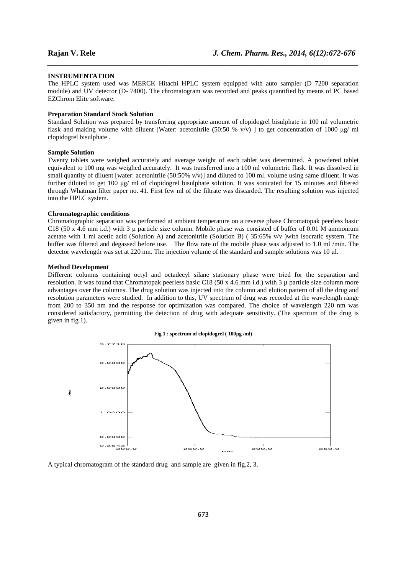#### **INSTRUMENTATION**

The HPLC system used was MERCK Hitachi HPLC system equipped with auto sampler (D 7200 separation module) and UV detector (D- 7400). The chromatogram was recorded and peaks quantified by means of PC based EZChrom Elite software.

*\_\_\_\_\_\_\_\_\_\_\_\_\_\_\_\_\_\_\_\_\_\_\_\_\_\_\_\_\_\_\_\_\_\_\_\_\_\_\_\_\_\_\_\_\_\_\_\_\_\_\_\_\_\_\_\_\_\_\_\_\_\_\_\_\_\_\_\_\_\_\_\_\_\_\_\_\_\_*

#### **Preparation Standard Stock Solution**

Standard Solution was prepared by transferring appropriate amount of clopidogrel bisulphate in 100 ml volumetric flask and making volume with diluent [Water: acetonitrile (50:50 % v/v) ] to get concentration of 1000 µg/ ml clopidogrel bisulphate .

# **Sample Solution**

Twenty tablets were weighed accurately and average weight of each tablet was determined. A powdered tablet equivalent to 100 mg was weighed accurately. It was transferred into a 100 ml volumetric flask. It was dissolved in small quantity of diluent [water: acetonitrile  $(50:50\% \text{ v/v})$ ] and diluted to 100 ml. volume using same diluent. It was further diluted to get 100 µg/ ml of clopidogrel bisulphate solution. It was sonicated for 15 minutes and filtered through Whatman filter paper no. 41. First few ml of the filtrate was discarded. The resulting solution was injected into the HPLC system.

# **Chromatographic conditions**

Chromatographic separation was performed at ambient temperature on a reverse phase Chromatopak peerless basic C18 (50 x 4.6 mm i.d.) with 3  $\mu$  particle size column. Mobile phase was consisted of buffer of 0.01 M ammonium acetate with 1 ml acetic acid (Solution A) and acetonitrile (Solution B) (35:65%  $v/v$ ) with isocratic system. The buffer was filtered and degassed before use. The flow rate of the mobile phase was adjusted to 1.0 ml /min. The detector wavelength was set at 220 nm. The injection volume of the standard and sample solutions was 10 µl.

### **Method Development**

Different columns containing octyl and octadecyl silane stationary phase were tried for the separation and resolution. It was found that Chromatopak peerless basic C18 (50 x 4.6 mm i.d.) with 3 µ particle size column more advantages over the columns. The drug solution was injected into the column and elution pattern of all the drug and resolution parameters were studied. In addition to this, UV spectrum of drug was recorded at the wavelength range from 200 to 350 nm and the response for optimization was compared. The choice of wavelength 220 nm was considered satisfactory, permitting the detection of drug with adequate sensitivity. (The spectrum of the drug is given in fig 1).



A typical chromatogram of the standard drug and sample are given in fig.2, 3.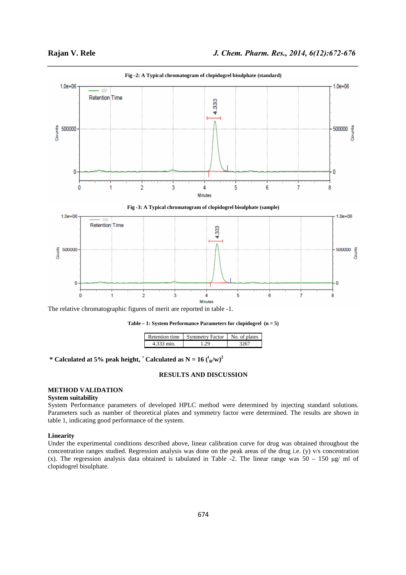

*\_\_\_\_\_\_\_\_\_\_\_\_\_\_\_\_\_\_\_\_\_\_\_\_\_\_\_\_\_\_\_\_\_\_\_\_\_\_\_\_\_\_\_\_\_\_\_\_\_\_\_\_\_\_\_\_\_\_\_\_\_\_\_\_\_\_\_\_\_\_\_\_\_\_\_\_\_\_* **Fig -2: A Typical chromatogram of clopidogrel bisulphate (standard)**

The relative chromatographic figures of merit are reported in table -1.



|            | Retention time | <b>Symmetry Factor</b> | No. of plates |  |
|------------|----------------|------------------------|---------------|--|
| 4.333 min. |                | 1 20                   |               |  |

\* Calculated at 5% peak height, <sup>+</sup> Calculated as  $N = 16 \binom{t_R}{w}^2$ 

# **RESULTS AND DISCUSSION**

# **METHOD VALIDATION**

### **System suitability**

System Performance parameters of developed HPLC method were determined by injecting standard solutions. Parameters such as number of theoretical plates and symmetry factor were determined. The results are shown in table 1, indicating good performance of the system.

# **Linearity**

Under the experimental conditions described above, linear calibration curve for drug was obtained throughout the concentration ranges studied. Regression analysis was done on the peak areas of the drug i.e. (y) v/s concentration (x). The regression analysis data obtained is tabulated in Table -2. The linear range was  $50 - 150 \text{ µg/m}$  of clopidogrel bisulphate.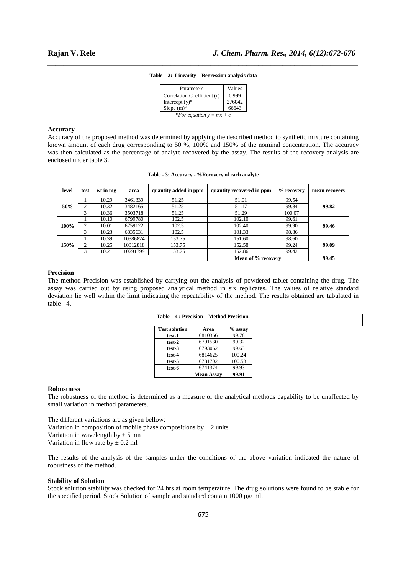| Parameters                         | Values |  |  |  |  |
|------------------------------------|--------|--|--|--|--|
| Correlation Coefficient (r)        | 0.999  |  |  |  |  |
| Intercept $(y)^*$                  | 276042 |  |  |  |  |
| Slope $(m)^*$                      | 66643  |  |  |  |  |
| * <i>For equation</i> $y = mx + c$ |        |  |  |  |  |

# *\_\_\_\_\_\_\_\_\_\_\_\_\_\_\_\_\_\_\_\_\_\_\_\_\_\_\_\_\_\_\_\_\_\_\_\_\_\_\_\_\_\_\_\_\_\_\_\_\_\_\_\_\_\_\_\_\_\_\_\_\_\_\_\_\_\_\_\_\_\_\_\_\_\_\_\_\_\_* **Table – 2: Linearity – Regression analysis data**

# **Accuracy**

Accuracy of the proposed method was determined by applying the described method to synthetic mixture containing known amount of each drug corresponding to 50 %, 100% and 150% of the nominal concentration. The accuracy was then calculated as the percentage of analyte recovered by the assay. The results of the recovery analysis are enclosed under table 3.

|  |  | Table - 3: Accuracy - %Recovery of each analyte |  |
|--|--|-------------------------------------------------|--|
|  |  |                                                 |  |

| level | test               | wt in mg | area     | quantity added in ppm | quantity recovered in ppm | % recovery | mean recovery |  |  |  |
|-------|--------------------|----------|----------|-----------------------|---------------------------|------------|---------------|--|--|--|
|       |                    | 10.29    | 3461339  | 51.25                 | 51.01                     | 99.54      |               |  |  |  |
| 50%   | 2                  | 10.32    | 3482165  | 51.25                 | 51.17                     | 99.84      | 99.82         |  |  |  |
|       |                    | 10.36    | 3503718  | 51.25                 | 51.29                     | 100.07     |               |  |  |  |
|       |                    | 10.10    | 6799780  | 102.5                 | 102.10                    | 99.61      |               |  |  |  |
| 100%  | 2                  | 10.01    | 6759122  | 102.5                 | 102.40                    | 99.90      | 99.46         |  |  |  |
|       | 3                  | 10.23    | 6835631  | 102.5                 | 101.33                    | 98.86      |               |  |  |  |
|       |                    | 10.39    | 10386824 | 153.75                | 151.60                    | 98.60      |               |  |  |  |
| 150%  | 2                  | 10.25    | 10312818 | 153.75                | 152.58                    | 99.24      | 99.09         |  |  |  |
|       | 3                  | 10.21    | 10291799 | 153.75                | 152.86                    | 99.42      |               |  |  |  |
|       | Mean of % recovery |          | 99.45    |                       |                           |            |               |  |  |  |

## **Precision**

The method Precision was established by carrying out the analysis of powdered tablet containing the drug. The assay was carried out by using proposed analytical method in six replicates. The values of relative standard deviation lie well within the limit indicating the repeatability of the method. The results obtained are tabulated in table - 4.

|  |  |  |  | Table – 4 : Precision – Method Precision. |
|--|--|--|--|-------------------------------------------|
|--|--|--|--|-------------------------------------------|

| <b>Test solution</b> | Area              | $%$ assay |
|----------------------|-------------------|-----------|
| test-1               | 6810366           | 99.78     |
| test-2               | 6791530           | 99.32     |
| test-3               | 6793062           | 99.63     |
| test-4               | 6814625           | 100.24    |
| test-5               | 6781702           | 100.53    |
| test-6               | 6741374           | 99.93     |
|                      | <b>Mean Assay</b> | 99.91     |

#### **Robustness**

The robustness of the method is determined as a measure of the analytical methods capability to be unaffected by small variation in method parameters.

The different variations are as given bellow: Variation in composition of mobile phase compositions by  $\pm 2$  units Variation in wavelength by  $\pm$  5 nm

Variation in flow rate by  $\pm$  0.2 ml

The results of the analysis of the samples under the conditions of the above variation indicated the nature of robustness of the method.

#### **Stability of Solution**

Stock solution stability was checked for 24 hrs at room temperature. The drug solutions were found to be stable for the specified period. Stock Solution of sample and standard contain 1000 µg/ ml.